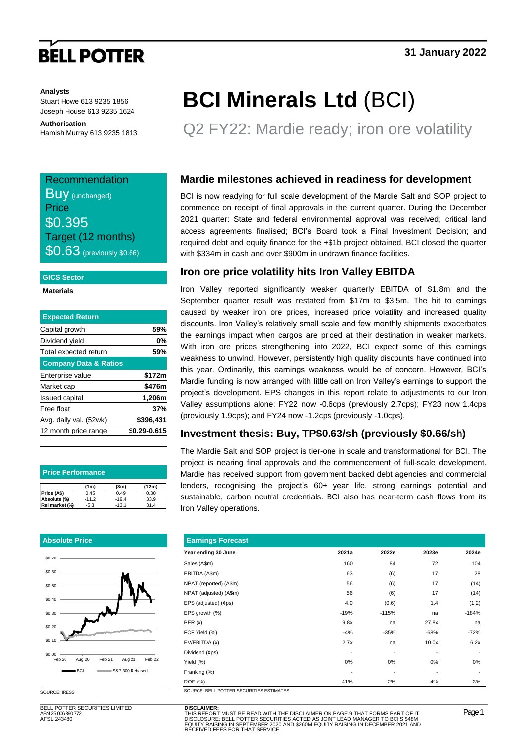# **BELL POTTER**

#### **Analysts**

Stuart Howe 613 9235 1856 Joseph House 613 9235 1624

**Authorisation** Hamish Murray 613 9235 1813

## Recommendation Buy (unchanged) **Price** \$0.395 Target (12 months) **\$0.63** (previously \$0.66)

#### **GICS Sector**

**Materials**

| <b>Expected Return</b>           |              |
|----------------------------------|--------------|
| Capital growth                   | 59%          |
| Dividend yield                   | 0%           |
| Total expected return            | 59%          |
| <b>Company Data &amp; Ratios</b> |              |
| Enterprise value                 | \$172m       |
| Market cap                       | \$476m       |
| <b>Issued capital</b>            | 1,206m       |
| Free float                       | 37%          |
| Avg. daily val. (52wk)           | \$396,431    |
| 12 month price range             | \$0.29-0.615 |

| <b>Price Performance</b> |                   |         |       |  |  |  |  |  |
|--------------------------|-------------------|---------|-------|--|--|--|--|--|
|                          | (1 <sub>m</sub> ) | (3m)    | (12m) |  |  |  |  |  |
| Price (A\$)              | 0.45              | 0.49    | 0.30  |  |  |  |  |  |
| Absolute (%)             | $-11.2$           | $-19.4$ | 33.9  |  |  |  |  |  |
| Rel market (%)           | $-5.3$            | $-13.1$ | 31.4  |  |  |  |  |  |

#### **Absolute Price**



SOURCE: IRESS

BELL POTTER SECURITIES LIMITED ABN 25 006 390 772 AFSL 243480

# **BCI Minerals Ltd** (BCI)

Q2 FY22: Mardie ready; iron ore volatility

### **Mardie milestones achieved in readiness for development**

BCI is now readying for full scale development of the Mardie Salt and SOP project to commence on receipt of final approvals in the current quarter. During the December 2021 quarter: State and federal environmental approval was received; critical land access agreements finalised; BCI's Board took a Final Investment Decision; and required debt and equity finance for the +\$1b project obtained. BCI closed the quarter with \$334m in cash and over \$900m in undrawn finance facilities.

### **Iron ore price volatility hits Iron Valley EBITDA**

Iron Valley reported significantly weaker quarterly EBITDA of \$1.8m and the September quarter result was restated from \$17m to \$3.5m. The hit to earnings caused by weaker iron ore prices, increased price volatility and increased quality discounts. Iron Valley's relatively small scale and few monthly shipments exacerbates the earnings impact when cargos are priced at their destination in weaker markets. With iron ore prices strengthening into 2022, BCI expect some of this earnings weakness to unwind. However, persistently high quality discounts have continued into this year. Ordinarily, this earnings weakness would be of concern. However, BCI's Mardie funding is now arranged with little call on Iron Valley's earnings to support the project's development. EPS changes in this report relate to adjustments to our Iron Valley assumptions alone: FY22 now -0.6cps (previously 2.7cps); FY23 now 1.4cps (previously 1.9cps); and FY24 now -1.2cps (previously -1.0cps).

### **Investment thesis: Buy, TP\$0.63/sh (previously \$0.66/sh)**

The Mardie Salt and SOP project is tier-one in scale and transformational for BCI. The project is nearing final approvals and the commencement of full-scale development. Mardie has received support from government backed debt agencies and commercial lenders, recognising the project's 60+ year life, strong earnings potential and sustainable, carbon neutral credentials. BCI also has near-term cash flows from its Iron Valley operations.

| <b>Earnings Forecast</b>                 |        |         |        |         |  |  |  |  |  |  |
|------------------------------------------|--------|---------|--------|---------|--|--|--|--|--|--|
| Year ending 30 June                      | 2021a  | 2022e   | 2023e  | 2024e   |  |  |  |  |  |  |
| Sales (A\$m)                             | 160    | 84      | 72     | 104     |  |  |  |  |  |  |
| EBITDA (A\$m)                            | 63     | (6)     | 17     | 28      |  |  |  |  |  |  |
| NPAT (reported) (A\$m)                   | 56     | (6)     | 17     | (14)    |  |  |  |  |  |  |
| NPAT (adjusted) (A\$m)                   | 56     | (6)     | 17     | (14)    |  |  |  |  |  |  |
| EPS (adjusted) (¢ps)                     | 4.0    | (0.6)   | 1.4    | (1.2)   |  |  |  |  |  |  |
| EPS growth (%)                           | $-19%$ | $-115%$ | na     | $-184%$ |  |  |  |  |  |  |
| PER(x)                                   | 9.8x   | na      | 27.8x  | na      |  |  |  |  |  |  |
| FCF Yield (%)                            | $-4%$  | $-35%$  | $-68%$ | $-72%$  |  |  |  |  |  |  |
| EV/EBITDA (x)                            | 2.7x   | na      | 10.0x  | 6.2x    |  |  |  |  |  |  |
| Dividend (¢ps)                           | ٠      | ٠       | ٠      |         |  |  |  |  |  |  |
| Yield (%)                                | 0%     | $0\%$   | 0%     | 0%      |  |  |  |  |  |  |
| Franking (%)                             |        | ٠       | ٠      |         |  |  |  |  |  |  |
| <b>ROE</b> (%)                           | 41%    | $-2%$   | 4%     | $-3%$   |  |  |  |  |  |  |
| SOURCE: BELL POTTER SECURITIES ESTIMATES |        |         |        |         |  |  |  |  |  |  |

**DISCLAIMER:**<br>THIS REPORT MUST BE READ WITH THE DISCLAIMER ON PAGE 9 THAT FORMS PART OF IT.<br>DISCLOSURE: BELL POTTER SECURITIES ACTED AS JOINT LEAD MANAGER TO BCI'S \$48M<br>EQUITY RAISING IN SEPTEMBER 2020 AND \$260M EQUITY RAI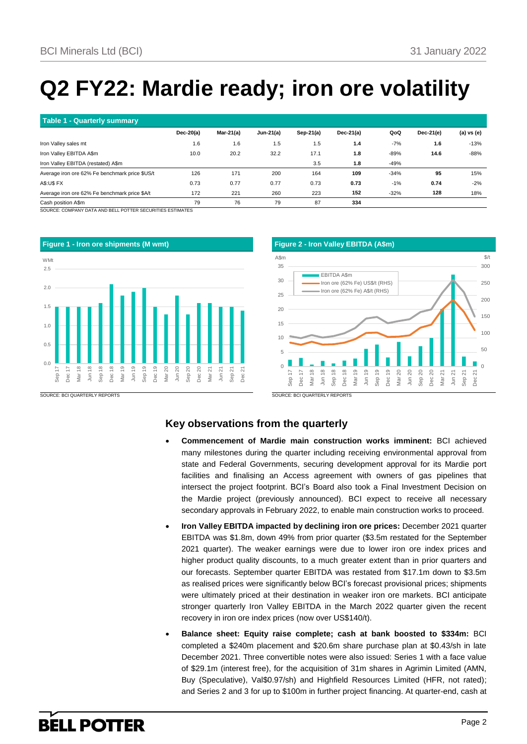# **Q2 FY22: Mardie ready; iron ore volatility**

| Table 1 - Quarterly summary                             |             |              |             |             |              |        |             |            |  |  |  |
|---------------------------------------------------------|-------------|--------------|-------------|-------------|--------------|--------|-------------|------------|--|--|--|
|                                                         | $Dec-20(a)$ | Mar-21 $(a)$ | $Jun-21(a)$ | $Sep-21(a)$ | Dec-21 $(a)$ | QoQ    | $Dec-21(e)$ | (a) vs (e) |  |  |  |
| Iron Valley sales mt                                    | 1.6         | 1.6          | 1.5         | 1.5         | 1.4          | $-7%$  | 1.6         | $-13%$     |  |  |  |
| Iron Valley EBITDA A\$m                                 | 10.0        | 20.2         | 32.2        | 17.1        | 1.8          | -89%   | 14.6        | $-88%$     |  |  |  |
| Iron Valley EBITDA (restated) A\$m                      |             |              |             | 3.5         | 1.8          | -49%   |             |            |  |  |  |
| Average iron ore 62% Fe benchmark price \$US/t          | 126         | 171          | 200         | 164         | 109          | $-34%$ | 95          | 15%        |  |  |  |
| <b>A\$:U\$ FX</b>                                       | 0.73        | 0.77         | 0.77        | 0.73        | 0.73         | $-1%$  | 0.74        | $-2%$      |  |  |  |
| Average iron ore 62% Fe benchmark price \$A/t           | 172         | 221          | 260         | 223         | 152          | $-32%$ | 128         | 18%        |  |  |  |
| Cash position A\$m                                      | 79          | 76           | 79          | 87          | 334          |        |             |            |  |  |  |
| AAURAE, AAURULIVALEL JURINELL RAEER AEAURUEREAEAEU USEA |             |              |             |             |              |        |             |            |  |  |  |

ANY DATA AND BELL POTTER SECURITIES ESTIMATES





SOURCE: BCI QUARTERLY REPORTS

### **Key observations from the quarterly**

- **Commencement of Mardie main construction works imminent:** BCI achieved many milestones during the quarter including receiving environmental approval from state and Federal Governments, securing development approval for its Mardie port facilities and finalising an Access agreement with owners of gas pipelines that intersect the project footprint. BCI's Board also took a Final Investment Decision on the Mardie project (previously announced). BCI expect to receive all necessary secondary approvals in February 2022, to enable main construction works to proceed.
- **Iron Valley EBITDA impacted by declining iron ore prices:** December 2021 quarter EBITDA was \$1.8m, down 49% from prior quarter (\$3.5m restated for the September 2021 quarter). The weaker earnings were due to lower iron ore index prices and higher product quality discounts, to a much greater extent than in prior quarters and our forecasts. September quarter EBITDA was restated from \$17.1m down to \$3.5m as realised prices were significantly below BCI's forecast provisional prices; shipments were ultimately priced at their destination in weaker iron ore markets. BCI anticipate stronger quarterly Iron Valley EBITDA in the March 2022 quarter given the recent recovery in iron ore index prices (now over US\$140/t).
- **Balance sheet: Equity raise complete; cash at bank boosted to \$334m:** BCI completed a \$240m placement and \$20.6m share purchase plan at \$0.43/sh in late December 2021. Three convertible notes were also issued: Series 1 with a face value of \$29.1m (interest free), for the acquisition of 31m shares in Agrimin Limited (AMN, Buy (Speculative), Val\$0.97/sh) and Highfield Resources Limited (HFR, not rated); and Series 2 and 3 for up to \$100m in further project financing. At quarter-end, cash at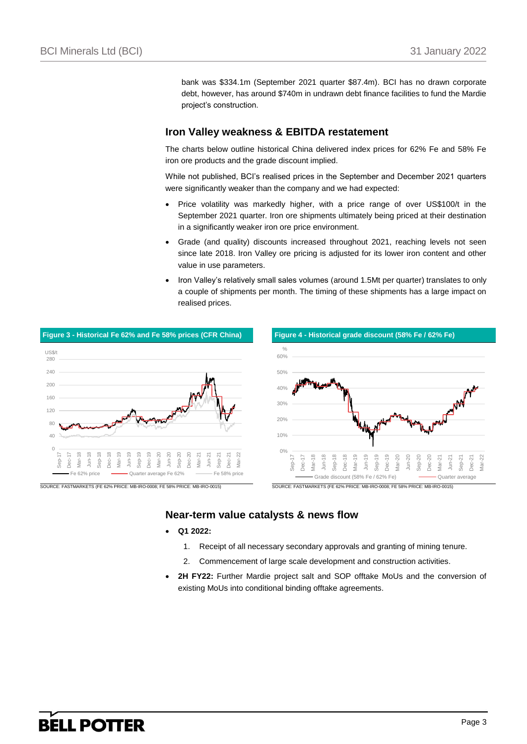bank was \$334.1m (September 2021 quarter \$87.4m). BCI has no drawn corporate debt, however, has around \$740m in undrawn debt finance facilities to fund the Mardie project's construction.

### **Iron Valley weakness & EBITDA restatement**

The charts below outline historical China delivered index prices for 62% Fe and 58% Fe iron ore products and the grade discount implied.

While not published, BCI's realised prices in the September and December 2021 quarters were significantly weaker than the company and we had expected:

- Price volatility was markedly higher, with a price range of over US\$100/t in the September 2021 quarter. Iron ore shipments ultimately being priced at their destination in a significantly weaker iron ore price environment.
- Grade (and quality) discounts increased throughout 2021, reaching levels not seen since late 2018. Iron Valley ore pricing is adjusted for its lower iron content and other value in use parameters.
- Iron Valley's relatively small sales volumes (around 1.5Mt per quarter) translates to only a couple of shipments per month. The timing of these shipments has a large impact on realised prices.



### **Near-term value catalysts & news flow**

- **Q1 2022:**
	- 1. Receipt of all necessary secondary approvals and granting of mining tenure.
	- 2. Commencement of large scale development and construction activities.
- **2H FY22:** Further Mardie project salt and SOP offtake MoUs and the conversion of existing MoUs into conditional binding offtake agreements.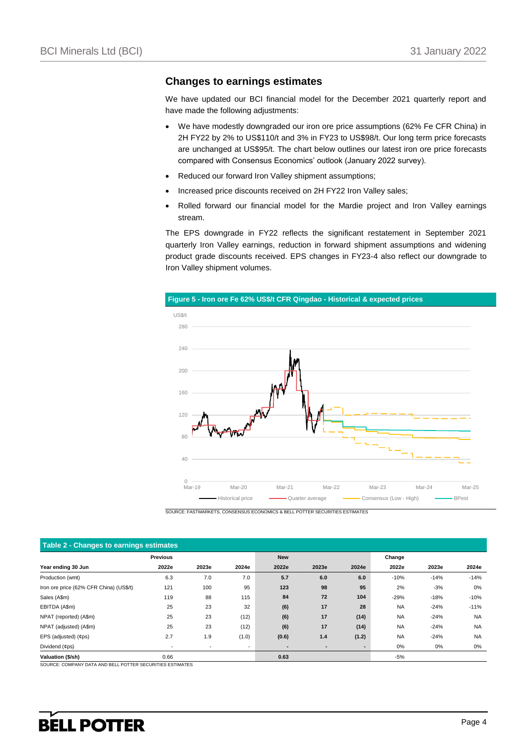### **Changes to earnings estimates**

We have updated our BCI financial model for the December 2021 quarterly report and have made the following adjustments:

- We have modestly downgraded our iron ore price assumptions (62% Fe CFR China) in 2H FY22 by 2% to US\$110/t and 3% in FY23 to US\$98/t. Our long term price forecasts are unchanged at US\$95/t. The chart below outlines our latest iron ore price forecasts compared with Consensus Economics' outlook (January 2022 survey).
- Reduced our forward Iron Valley shipment assumptions;
- Increased price discounts received on 2H FY22 Iron Valley sales;
- Rolled forward our financial model for the Mardie project and Iron Valley earnings stream.

The EPS downgrade in FY22 reflects the significant restatement in September 2021 quarterly Iron Valley earnings, reduction in forward shipment assumptions and widening product grade discounts received. EPS changes in FY23-4 also reflect our downgrade to Iron Valley shipment volumes.



SOURCE: FASTMARKETS, CONSENSUS ECONOMICS & BELL POTTER SECURITIES ESTIMATES

| Table 2 - Changes to earnings estimates |                          |                          |                          |       |       |       |           |        |           |  |
|-----------------------------------------|--------------------------|--------------------------|--------------------------|-------|-------|-------|-----------|--------|-----------|--|
|                                         | <b>New</b>               |                          |                          |       |       |       |           |        |           |  |
| Year ending 30 Jun                      | 2022e                    | 2023e                    | 2024e                    | 2022e | 2023e | 2024e | 2022e     | 2023e  | 2024e     |  |
| Production (wmt)                        | 6.3                      | 7.0                      | 7.0                      | 5.7   | 6.0   | 6.0   | $-10%$    | $-14%$ | $-14%$    |  |
| Iron ore price (62% CFR China) (US\$/t) | 121                      | 100                      | 95                       | 123   | 98    | 95    | 2%        | $-3%$  | 0%        |  |
| Sales (A\$m)                            | 119                      | 88                       | 115                      | 84    | 72    | 104   | $-29%$    | $-18%$ | $-10%$    |  |
| EBITDA (A\$m)                           | 25                       | 23                       | 32                       | (6)   | 17    | 28    | <b>NA</b> | $-24%$ | $-11%$    |  |
| NPAT (reported) (A\$m)                  | 25                       | 23                       | (12)                     | (6)   | 17    | (14)  | <b>NA</b> | $-24%$ | <b>NA</b> |  |
| NPAT (adjusted) (A\$m)                  | 25                       | 23                       | (12)                     | (6)   | 17    | (14)  | <b>NA</b> | $-24%$ | <b>NA</b> |  |
| EPS (adjusted) (¢ps)                    | 2.7                      | 1.9                      | (1.0)                    | (0.6) | 1.4   | (1.2) | <b>NA</b> | $-24%$ | <b>NA</b> |  |
| Dividend (¢ps)                          | $\overline{\phantom{a}}$ | $\overline{\phantom{a}}$ | $\overline{\phantom{a}}$ | -     |       | ٠     | $0\%$     | 0%     | $0\%$     |  |
| Valuation (\$/sh)                       | 0.66                     |                          |                          | 0.63  |       |       | $-5%$     |        |           |  |

SOURCE: COMPANY DATA AND BELL POTTER SECURITIES ESTIMATES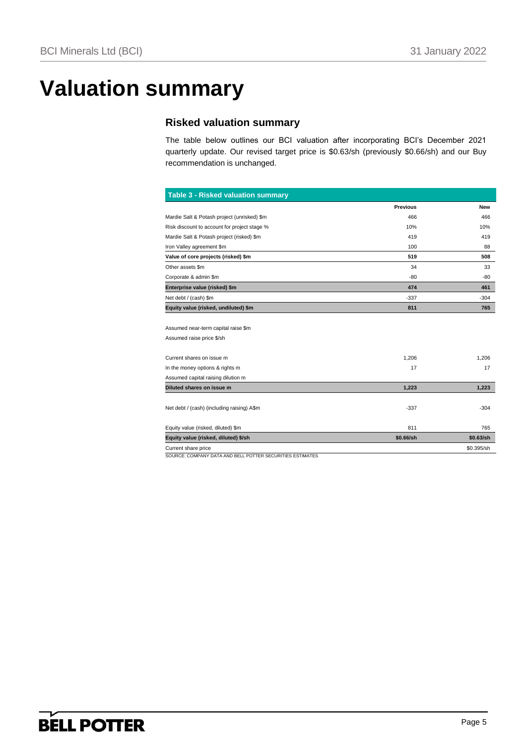# **Valuation summary**

## **Risked valuation summary**

The table below outlines our BCI valuation after incorporating BCI's December 2021 quarterly update. Our revised target price is \$0.63/sh (previously \$0.66/sh) and our Buy recommendation is unchanged.

| <b>Table 3 - Risked valuation summary</b>                        |                 |            |
|------------------------------------------------------------------|-----------------|------------|
|                                                                  | <b>Previous</b> | <b>New</b> |
| Mardie Salt & Potash project (unrisked) \$m                      | 466             | 466        |
| Risk discount to account for project stage %                     | 10%             | 10%        |
| Mardie Salt & Potash project (risked) \$m                        | 419             | 419        |
| Iron Valley agreement \$m                                        | 100             | 88         |
| Value of core projects (risked) \$m                              | 519             | 508        |
| Other assets \$m                                                 | 34              | 33         |
| Corporate & admin \$m                                            | -80             | $-80$      |
| Enterprise value (risked) \$m                                    | 474             | 461        |
| Net debt / (cash) \$m                                            | $-337$          | $-304$     |
| Equity value (risked, undiluted) \$m                             | 811             | 765        |
| Assumed near-term capital raise \$m<br>Assumed raise price \$/sh |                 |            |
| Current shares on issue m                                        | 1,206           | 1,206      |
| In the money options & rights m                                  | 17              | 17         |
| Assumed capital raising dilution m                               |                 |            |
| Diluted shares on issue m                                        | 1,223           | 1,223      |
| Net debt / (cash) (including raising) A\$m                       | $-337$          | $-304$     |
| Equity value (risked, diluted) \$m                               | 811             | 765        |
| Equity value (risked, diluted) \$/sh                             | \$0.66/sh       | \$0.63/sh  |
| Current share price                                              |                 | \$0.395/sh |
| SOURCE: COMPANY DATA AND BELL POTTER SECURITIES ESTIMATES        |                 |            |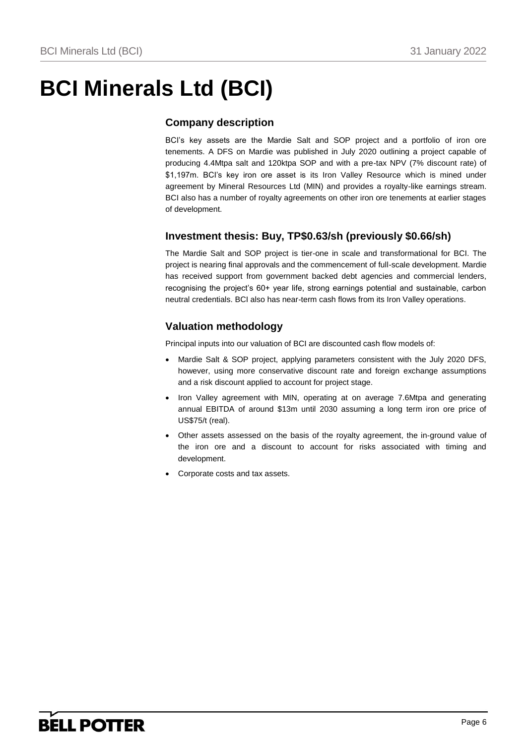# **BCI Minerals Ltd (BCI)**

## **Company description**

BCI's key assets are the Mardie Salt and SOP project and a portfolio of iron ore tenements. A DFS on Mardie was published in July 2020 outlining a project capable of producing 4.4Mtpa salt and 120ktpa SOP and with a pre-tax NPV (7% discount rate) of \$1,197m. BCI's key iron ore asset is its Iron Valley Resource which is mined under agreement by Mineral Resources Ltd (MIN) and provides a royalty-like earnings stream. BCI also has a number of royalty agreements on other iron ore tenements at earlier stages of development.

## **Investment thesis: Buy, TP\$0.63/sh (previously \$0.66/sh)**

The Mardie Salt and SOP project is tier-one in scale and transformational for BCI. The project is nearing final approvals and the commencement of full-scale development. Mardie has received support from government backed debt agencies and commercial lenders, recognising the project's 60+ year life, strong earnings potential and sustainable, carbon neutral credentials. BCI also has near-term cash flows from its Iron Valley operations.

## **Valuation methodology**

Principal inputs into our valuation of BCI are discounted cash flow models of:

- Mardie Salt & SOP project, applying parameters consistent with the July 2020 DFS, however, using more conservative discount rate and foreign exchange assumptions and a risk discount applied to account for project stage.
- Iron Valley agreement with MIN, operating at on average 7.6Mtpa and generating annual EBITDA of around \$13m until 2030 assuming a long term iron ore price of US\$75/t (real).
- Other assets assessed on the basis of the royalty agreement, the in-ground value of the iron ore and a discount to account for risks associated with timing and development.
- Corporate costs and tax assets.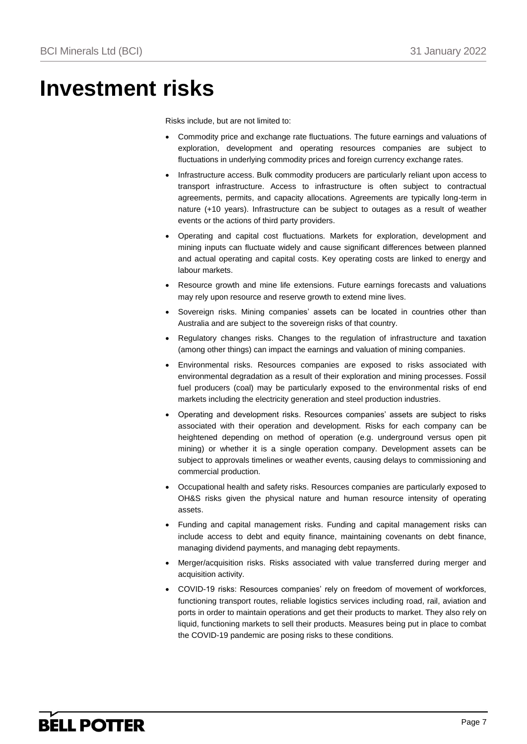## **Investment risks**

Risks include, but are not limited to:

- Commodity price and exchange rate fluctuations. The future earnings and valuations of exploration, development and operating resources companies are subject to fluctuations in underlying commodity prices and foreign currency exchange rates.
- Infrastructure access. Bulk commodity producers are particularly reliant upon access to transport infrastructure. Access to infrastructure is often subject to contractual agreements, permits, and capacity allocations. Agreements are typically long-term in nature (+10 years). Infrastructure can be subject to outages as a result of weather events or the actions of third party providers.
- Operating and capital cost fluctuations. Markets for exploration, development and mining inputs can fluctuate widely and cause significant differences between planned and actual operating and capital costs. Key operating costs are linked to energy and labour markets.
- Resource growth and mine life extensions. Future earnings forecasts and valuations may rely upon resource and reserve growth to extend mine lives.
- Sovereign risks. Mining companies' assets can be located in countries other than Australia and are subject to the sovereign risks of that country.
- Regulatory changes risks. Changes to the regulation of infrastructure and taxation (among other things) can impact the earnings and valuation of mining companies.
- Environmental risks. Resources companies are exposed to risks associated with environmental degradation as a result of their exploration and mining processes. Fossil fuel producers (coal) may be particularly exposed to the environmental risks of end markets including the electricity generation and steel production industries.
- Operating and development risks. Resources companies' assets are subject to risks associated with their operation and development. Risks for each company can be heightened depending on method of operation (e.g. underground versus open pit mining) or whether it is a single operation company. Development assets can be subject to approvals timelines or weather events, causing delays to commissioning and commercial production.
- Occupational health and safety risks. Resources companies are particularly exposed to OH&S risks given the physical nature and human resource intensity of operating assets.
- Funding and capital management risks. Funding and capital management risks can include access to debt and equity finance, maintaining covenants on debt finance, managing dividend payments, and managing debt repayments.
- Merger/acquisition risks. Risks associated with value transferred during merger and acquisition activity.
- COVID-19 risks: Resources companies' rely on freedom of movement of workforces, functioning transport routes, reliable logistics services including road, rail, aviation and ports in order to maintain operations and get their products to market. They also rely on liquid, functioning markets to sell their products. Measures being put in place to combat the COVID-19 pandemic are posing risks to these conditions.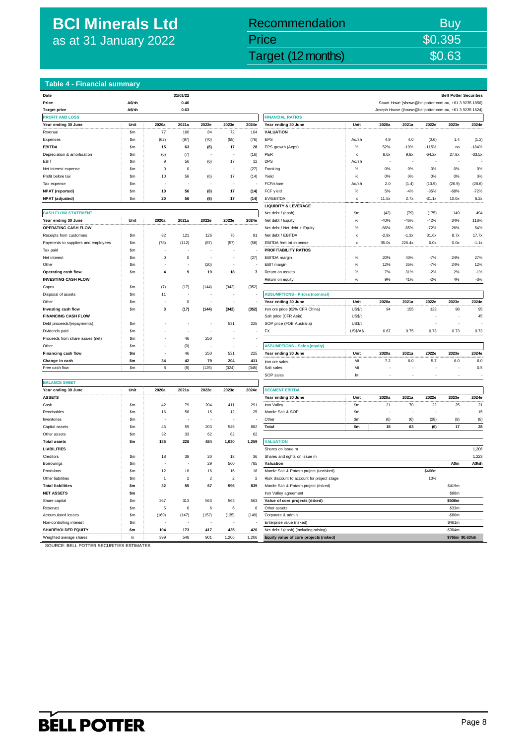## **BCI Minerals Ltd** as at 31 January 2022

## Externals Ltd (BCI) 31 January 2022 Target (12 months) 30.63 Recommendation Buy Price \$0.395

#### **Table 4 - Financial summary**

| Date                                |               |                         | 31/01/22                |            |                  |                         |                                                        |                           |         |         |                                                          | <b>Bell Potter Securities</b> |          |
|-------------------------------------|---------------|-------------------------|-------------------------|------------|------------------|-------------------------|--------------------------------------------------------|---------------------------|---------|---------|----------------------------------------------------------|-------------------------------|----------|
| Price                               | A\$/sh        |                         | 0.40                    |            |                  |                         | Stuart Howe (showe@bellpotter.com.au, +61 3 9235 1856) |                           |         |         |                                                          |                               |          |
| <b>Target price</b>                 | A\$/sh        |                         | 0.63                    |            |                  |                         |                                                        |                           |         |         | Joseph House (jhouse@bellpotter.com.au, +61 3 9235 1624) |                               |          |
| <b>PROFIT AND LOSS</b>              |               |                         |                         |            |                  |                         | <b>FINANCIAL RATIOS</b>                                |                           |         |         |                                                          |                               |          |
| Year ending 30 June                 | Unit          | 2020a                   | 2021a                   | 2022e      | 2023e            | 2024e                   | Year ending 30 June                                    | Unit                      | 2020a   | 2021a   | 2022e                                                    | 2023e                         | 2024e    |
| Revenue                             | \$m           | 77                      | 160                     | 84         | 72               | 104                     | <b>VALUATION</b>                                       |                           |         |         |                                                          |                               |          |
| Expenses                            | \$m           | (62)                    | (97)                    | (70)       | (55)             | (76)                    | EPS                                                    | Ac/sh                     | 4.9     | 4.0     | (0.6)                                                    | 1.4                           | (1.2)    |
| <b>EBITDA</b>                       | \$m           | 15                      | 63                      | (6)        | 17               | 28                      | EPS growth (Acps)                                      | $\%$                      | 52%     | $-19%$  | $-115%$                                                  | na                            | $-184%$  |
| Depreciation & amortisation         | \$m           | (6)                     | (7)                     |            |                  | (16)                    | PER                                                    | $\boldsymbol{\mathsf{x}}$ | 8.0x    | 9.8x    | $-64.2x$                                                 | 27.8x                         | $-33.5x$ |
| EBIT                                | \$m           | 9                       | 56                      | (6)        | 17               | 12                      | <b>DPS</b>                                             | Ac/sh                     |         |         |                                                          |                               |          |
| Net interest expense                | \$m           | $\pmb{0}$               | $\mathbf 0$             |            |                  | (27)                    | Franking                                               | $\%$                      | 0%      | 0%      | 0%                                                       | 0%                            | 0%       |
| Profit before tax                   | \$m           | 10                      | 56                      | (6)        | 17               | (14)                    | Yield                                                  | $\%$                      | 0%      | 0%      | 0%                                                       | 0%                            | 0%       |
| Tax expense                         | \$m           |                         |                         |            |                  |                         | FCF/share                                              | Ac/sh                     | 2.0     | (1.4)   | (13.9)                                                   | (26.9)                        | (28.6)   |
| <b>NPAT</b> (reported)              | \$m           | $10$                    | 56                      | (6)        | 17               | (14)                    | FCF yield                                              | $\%$                      | 5%      | $-4%$   | $-35%$                                                   | $-68%$                        | $-72%$   |
| NPAT (adjusted)                     | \$m           | 20                      | 56                      | (6)        | 17               | (14)                    | EV/EBITDA                                              | $\boldsymbol{\mathsf{x}}$ | 11.5x   | 2.7x    | $-31.1x$                                                 | 10.0x                         | 6.2x     |
|                                     |               |                         |                         |            |                  |                         | <b>LIQUIDITY &amp; LEVERAGE</b>                        |                           |         |         |                                                          |                               |          |
| <b>CASH FLOW STATEMENT</b>          |               |                         |                         |            |                  |                         | Net debt / (cash)                                      | \$m                       | (42)    | (79)    | (175)                                                    | 149                           | 494      |
| Year ending 30 June                 | Unit          | 2020a                   | 2021a                   | 2022e      | 2023e            | 2024e                   | Net debt / Equity                                      | %                         | $-40%$  | $-46%$  | $-42%$                                                   | 34%                           | 118%     |
| OPERATING CASH FLOW                 |               |                         |                         |            |                  |                         | Net debt / Net debt + Equity                           | $\%$                      | $-66%$  | $-85%$  | $-72%$                                                   | 26%                           | 54%      |
| Receipts from customers             | \$m           | 82                      | 121                     | 126        | 75               | 91                      | Net debt / EBITDA                                      | $\boldsymbol{\mathsf{x}}$ | $-2.8x$ | $-1.3x$ | 31.6x                                                    | 8.7x                          | 17.7x    |
| Payments to suppliers and employees | \$m           | (78)                    | (112)                   | (87)       | (57)             | (58)                    | EBITDA /net int expense                                | $\boldsymbol{\mathsf{x}}$ | 35.0x   | 226.4x  | 0.0x                                                     | 0.0x                          | $-1.1x$  |
|                                     |               |                         |                         |            |                  |                         | PROFITABILITY RATIOS                                   |                           |         |         |                                                          |                               |          |
| Tax paid                            | \$m           | $\mathbf 0$             |                         |            |                  |                         |                                                        |                           | 20%     | 40%     | $-7%$                                                    | 24%                           | 27%      |
| Net interest                        | \$m           |                         | $\pmb{0}$               |            | L.               | (27)                    | <b>EBITDA</b> margin                                   | $\%$                      |         |         |                                                          |                               |          |
| Other                               | \$m           |                         |                         | (20)       |                  |                         | EBIT margin                                            | $\%$                      | 12%     | 35%     | $-7%$                                                    | 24%                           | 12%      |
| Operating cash flow                 | \$m           | $\overline{4}$          | 9                       | 19         | 18               | $\overline{\mathbf{r}}$ | Return on assets                                       | $\%$                      | 7%      | 31%     | $-2%$                                                    | 2%                            | $-1%$    |
| <b>INVESTING CASH FLOW</b>          |               |                         |                         |            |                  |                         | Return on equity                                       | $\%$                      | 9%      | 41%     | $-2%$                                                    | 4%                            | $-3%$    |
| Capex                               | \$m           | (7)                     | (17)                    | (144)      | (342)            | (352)                   |                                                        |                           |         |         |                                                          |                               |          |
| Disposal of assets                  | \$m           | 11                      |                         |            |                  |                         | <b>ASSUMPTIONS - Prices (nominal)</b>                  |                           |         |         |                                                          |                               |          |
| Other                               | \$m           |                         | $\pmb{0}$               |            |                  |                         | Year ending 30 June                                    | Unit                      | 2020a   | 2021a   | 2022e                                                    | 2023e                         | 2024e    |
| Investing cash flow                 | \$m           | $\overline{\mathbf{3}}$ | (17)                    | (144)      | (342)            | (352)                   | Iron ore price (62% CFR China)                         | US\$/t                    | 94      | 155     | 123                                                      | 98                            | 95       |
| <b>FINANCING CASH FLOW</b>          |               |                         |                         |            |                  |                         | Salt price (CFR Asia)                                  | US\$/t                    |         |         |                                                          |                               | 45       |
| Debt proceeds/(repayments)          | \$m           |                         |                         |            | 531              | 225                     | SOP price (FOB Australia)                              | US\$/t                    |         |         |                                                          |                               |          |
| Dividends paid                      | \$m           |                         | J.                      | $\sim$     |                  |                         | FX                                                     | <b>US\$/A\$</b>           | 0.67    | 0.75    | 0.73                                                     | 0.73                          | 0.73     |
| Proceeds from share issues (net)    | \$m           |                         | 46                      | 250        |                  |                         |                                                        |                           |         |         |                                                          |                               |          |
| Other                               | \$m           |                         | (0)                     |            |                  |                         | <b>ASSUMPTIONS - Sales (equity)</b>                    |                           |         |         |                                                          |                               |          |
| Financing cash flow                 | $\mathsf{sm}$ |                         | 46                      | 250        | 531              | 225                     | Year ending 30 June                                    | Unit                      | 2020a   | 2021a   | 2022e                                                    | 2023e                         | 2024e    |
| Change in cash                      | $\mathsf{sm}$ | 34                      | 42                      | 79         | 204              | 411                     | Iron ore sales                                         | Mt                        | 7.2     | 6.0     | 5.7                                                      | 6.0                           | 6.0      |
| Free cash flow                      | \$m           | 8                       | (8)                     | (125)      | (324)            | (345)                   | Salt sales                                             | Mt                        |         |         |                                                          |                               | 0.5      |
|                                     |               |                         |                         |            |                  |                         | SOP sales                                              | kt                        |         |         |                                                          |                               |          |
| <b>BALANCE SHEET</b>                |               |                         |                         |            |                  |                         |                                                        |                           |         |         |                                                          |                               |          |
| Year ending 30 June                 | Unit          | 2020a                   | 2021a                   | 2022e      | 2023e            | 2024e                   | <b>SEGMENT EBITDA</b>                                  |                           |         |         |                                                          |                               |          |
| <b>ASSETS</b>                       |               |                         |                         |            |                  |                         | Year ending 30 June                                    | Unit                      | 2020a   | 2021a   | 2022e                                                    | 2023e                         | 2024e    |
| Cash                                | \$m           | 42                      | 79                      | 204        | 411              | 291                     | Iron Valley                                            | \$m                       | 21      | 70      | 22                                                       | 25                            | 21       |
| Receivables                         | \$m           | 16                      | 56                      | 15         | 12               | 25                      | Mardie Salt & SOP                                      | \$m                       |         |         |                                                          |                               | 15       |
| Inventories                         | \$m           |                         |                         |            |                  |                         | Other                                                  | \$m                       | (6)     | (6)     | (28)                                                     | (8)                           | (8)      |
| Capital assets                      | $\mathsf{Sm}$ | 46                      | 59                      | 203        | 545              | 882                     | Total                                                  | \$m                       | 15      | 63      | (6)                                                      | 17                            | 28       |
| Other assets                        | \$m           | 32                      | 33                      | 62         | 62               | 62                      |                                                        |                           |         |         |                                                          |                               |          |
| <b>Total assets</b>                 | \$m           | 136                     | 228                     | 484        | 1,030            | 1,259                   | <b>VALUATION</b>                                       |                           |         |         |                                                          |                               |          |
| <b>LIABILITIES</b>                  |               |                         |                         |            |                  |                         | Shares on issue m                                      |                           |         |         |                                                          |                               | 1,206    |
| Creditors                           | $\mathsf{Sm}$ | 18                      | 38                      | 20         | 18               | 36                      | Shares and rights on issue m                           |                           |         |         |                                                          |                               | 1,223    |
| Borrowings                          | \$m           |                         |                         | 29         | 560              | 785                     | Valuation                                              |                           |         |         |                                                          | A\$m                          | A\$/sh   |
| Provisions                          | \$m           | 12                      | 16                      | 16         | 16               | 16                      | Mardie Salt & Potash project (unrisked)                |                           |         |         | \$466m                                                   |                               |          |
| Other liabilities                   | \$m           | 1                       | $\overline{\mathbf{c}}$ | $\sqrt{2}$ | $\boldsymbol{2}$ | $\overline{\mathbf{c}}$ | Risk discount to account for project stage             |                           |         |         | 10%                                                      |                               |          |
| <b>Total liabilities</b>            | \$m           | 32                      | 55                      | 67         | 596              | 839                     | Mardie Salt & Potash project (risked)                  |                           |         |         |                                                          | \$419m                        |          |
| <b>NET ASSETS</b>                   | \$m           |                         |                         |            |                  |                         | Iron Valley agreement                                  |                           |         |         |                                                          | \$88m                         |          |
| Share capital                       | \$m           | 267                     | 313                     | 563        | 563              | 563                     | Value of core projects (risked)                        |                           |         |         |                                                          | \$508m                        |          |
| Reserves                            | \$m           | 5                       | 6                       | 6          | 6                | 6                       | Other assets                                           |                           |         |         |                                                          | \$33m                         |          |
| Accumulated losses                  | \$m           | (169)                   | (147)                   | (152)      | (135)            | (149)                   | Corporate & admin                                      |                           |         |         |                                                          | $-$ \$80m                     |          |
| Non-controlling interest            | \$m           |                         |                         |            |                  |                         | Enterprise value (risked)                              |                           |         |         |                                                          | \$461m                        |          |
| <b>SHAREHOLDER EQUITY</b>           | \$m           | 104                     | 173                     | 417        | 435              | 420                     | Net debt / (cash) (including raising)                  |                           |         |         |                                                          | $-$ \$304m                    |          |
|                                     |               |                         |                         |            |                  |                         |                                                        |                           |         |         |                                                          |                               |          |

| Target price                                   | A\$/sh        |                | 0.63                     |                          |             |                |                                                                    |                 |         | Joseph House (jhouse@bellpotter.com.au, +61 3 9235 1624) |          |                  |          |
|------------------------------------------------|---------------|----------------|--------------------------|--------------------------|-------------|----------------|--------------------------------------------------------------------|-----------------|---------|----------------------------------------------------------|----------|------------------|----------|
| <b>PROFIT AND LOSS</b>                         |               |                |                          |                          |             |                | <b>FINANCIAL RATIOS</b>                                            |                 |         |                                                          |          |                  |          |
| Year ending 30 June                            | Unit          | 2020a          | 2021a                    | 2022e                    | 2023e       | 2024e          | Year ending 30 June                                                | Unit            | 2020a   | 2021a                                                    | 2022e    | 2023e            | 2024e    |
| Revenue                                        | \$m           | 77             | 160                      | 84                       | 72          | 104            | <b>VALUATION</b>                                                   |                 |         |                                                          |          |                  |          |
| Expenses                                       | \$m           | (62)           | (97)                     | (70)                     | (55)        | (76)           | EPS                                                                | Ac/sh           | 4.9     | 4.0                                                      | (0.6)    | 1.4              | (1.2)    |
| <b>EBITDA</b>                                  | Sm            | 15             | 63                       | (6)                      | 17          | 28             | EPS growth (Acps)                                                  | $\frac{1}{2}$   | 52%     | $-19%$                                                   | $-115%$  | na               | $-184%$  |
| Depreciation & amortisation                    | \$m           | (6)            | (7)                      |                          |             | (16)           | PER                                                                | x               | 8.0x    | 9.8x                                                     | $-64.2x$ | 27.8x            | $-33.5x$ |
| EBIT                                           | Sm            | $\mathsf g$    | 56                       | (6)                      | 17          | 12             | <b>DPS</b>                                                         | Ac/sh           |         |                                                          |          |                  |          |
| Net interest expense                           | \$m           | $\bf{0}$       | $\mathbf 0$              | ÷,                       |             | (27)           | Franking                                                           | $\%$            | 0%      | 0%                                                       | 0%       | 0%               | 0%       |
| Profit before tax                              | \$m           | 10             | 56                       | (6)                      | $17\,$      | (14)           | Yield                                                              | $\%$            | 0%      | 0%                                                       | 0%       | 0%               | 0%       |
| Tax expense                                    | \$m           |                |                          |                          |             |                | FCF/share                                                          | Ac/sh           | 2.0     | (1.4)                                                    | (13.9)   | (26.9)           | (28.6)   |
| <b>NPAT</b> (reported)                         | \$m           | 10             | 56                       | (6)                      | 17          | (14)           | FCF yield                                                          | $\%$            | 5%      | $-4%$                                                    | $-35%$   | $-68%$           | $-72%$   |
| NPAT (adjusted)                                | \$m           | 20             | 56                       | (6)                      | 17          | (14)           | EV/EBITDA                                                          | x               | 11.5x   | 2.7x                                                     | $-31.1x$ | 10.0x            | 6.2x     |
|                                                |               |                |                          |                          |             |                | <b>LIQUIDITY &amp; LEVERAGE</b>                                    |                 |         |                                                          |          |                  |          |
| <b>CASH FLOW STATEMENT</b>                     |               |                |                          |                          |             |                | Net debt / (cash)                                                  | \$m             | (42)    | (79)                                                     | (175)    | 149              | 494      |
| Year ending 30 June                            | Unit          | 2020a          | 2021a                    | 2022e                    | 2023e       | 2024e          | Net debt / Equity                                                  | $\%$            | $-40%$  | $-46%$                                                   | $-42%$   | 34%              | 118%     |
| <b>OPERATING CASH FLOW</b>                     |               |                |                          |                          |             |                | Net debt / Net debt + Equity                                       | $\%$            | $-66%$  | $-85%$                                                   | $-72%$   | 26%              | 54%      |
| Receipts from customers                        | \$m           | 82             | 121                      | 126                      | 75          | 91             | Net debt / EBITDA                                                  | x               | $-2.8x$ | $-1.3x$                                                  | 31.6x    | 8.7x             | 17.7x    |
| Payments to suppliers and employees            | \$m           | (78)           | (112)                    | (87)                     | (57)        | (58)           | EBITDA /net int expense                                            | $\pmb{\times}$  | 35.0x   | 226.4x                                                   | 0.0x     | 0.0x             | $-1.1x$  |
| Tax paid                                       | \$m           |                |                          |                          |             |                | <b>PROFITABILITY RATIOS</b>                                        |                 |         |                                                          |          |                  |          |
| Net interest                                   | \$m           | $\mathbf 0$    | $^{\circ}$               | ÷.                       | ٠.          | (27)           | EBITDA margin                                                      | $\%$            | 20%     | 40%                                                      | $-7%$    | 24%              | 27%      |
| Other                                          | \$m           |                |                          | (20)                     | ÷.          |                | EBIT margin                                                        | $\%$            | 12%     | 35%                                                      | $-7%$    | 24%              | 12%      |
| Operating cash flow                            | \$m           | 4              | 9                        | 19                       | 18          | $\bf 7$        | Return on assets                                                   | $\%$            | 7%      | 31%                                                      | $-2%$    | 2%               | $-1%$    |
| <b>INVESTING CASH FLOW</b>                     |               |                |                          |                          |             |                | Return on equity                                                   | $\%$            | 9%      | 41%                                                      | $-2%$    | 4%               | $-3%$    |
| Capex                                          | \$m           | (7)            | (17)                     | (144)                    | (342)       | (352)          |                                                                    |                 |         |                                                          |          |                  |          |
| Disposal of assets                             | \$m           | 11             | ł,                       | ÷,                       | ÷,          |                | <b>ASSUMPTIONS - Prices (nominal)</b>                              |                 |         |                                                          |          |                  |          |
| Other                                          | \$m           |                | $\mathbf 0$              |                          |             |                | Year ending 30 June                                                | Unit            | 2020a   | 2021a                                                    | 2022e    | 2023e            | 2024e    |
| Investing cash flow                            | \$m           | $\mathbf{3}$   | (17)                     | (144)                    | (342)       | (352)          | Iron ore price (62% CFR China)                                     | US\$/t          | 94      | 155                                                      | 123      | 98               | 95       |
| <b>FINANCING CASH FLOW</b>                     |               |                |                          |                          |             |                | Salt price (CFR Asia)                                              | US\$/t          |         |                                                          |          |                  | 45       |
| Debt proceeds/(repayments)                     | Sm            |                | $\overline{\phantom{a}}$ | $\overline{\phantom{a}}$ | 531         | 225            | SOP price (FOB Australia)                                          | US\$/t          |         |                                                          |          |                  |          |
| Dividends paid                                 | \$m           |                | ÷.                       | ż.                       |             |                | FX                                                                 | <b>US\$/A\$</b> | 0.67    | 0.75                                                     | 0.73     | 0.73             | 0.73     |
| Proceeds from share issues (net)               | \$m           |                | 46                       | 250                      | ٠.          |                |                                                                    |                 |         |                                                          |          |                  |          |
| Other                                          | \$m           | J.             | (0)                      | J.                       | ÷,          |                | <b>ASSUMPTIONS - Sales (equity)</b>                                |                 |         |                                                          |          |                  |          |
| Financing cash flow                            | \$m           |                | 46                       | 250                      | 531         | 225            | Year ending 30 June                                                | Unit            | 2020a   | 2021a                                                    | 2022e    | 2023e            | 2024e    |
| Change in cash                                 | \$m           | 34             | 42                       | 79                       | 204         | 411            |                                                                    | Mt              | 7.2     | 6.0                                                      | 5.7      | 6.0              | 6.0      |
| Free cash flow                                 | \$m\$         | 8              | (8)                      | (125)                    | (324)       | (345)          | Iron ore sales<br>Salt sales                                       | Mt              |         |                                                          |          |                  | 0.5      |
|                                                |               |                |                          |                          |             |                | SOP sales                                                          | kt              |         |                                                          |          |                  |          |
| <b>BALANCE SHEET</b>                           |               |                |                          |                          |             |                |                                                                    |                 |         |                                                          |          |                  |          |
| Year ending 30 June                            | Unit          | 2020a          | 2021a                    | 2022e                    | 2023e       | 2024e          | <b>SEGMENT EBITDA</b>                                              |                 |         |                                                          |          |                  |          |
| <b>ASSETS</b>                                  |               |                |                          |                          |             |                | Year ending 30 June                                                | Unit            | 2020a   | 2021a                                                    | 2022e    | 2023e            | 2024e    |
| Cash                                           | $\mathsf{Sm}$ | 42             | 79                       | 204                      | 411         | 291            | Iron Valley                                                        | \$m             | 21      | 70                                                       | 22       | 25               | 21       |
| Receivables                                    | \$m           | 16             | 56                       | 15                       | 12          | 25             | Mardie Salt & SOP                                                  | \$m             |         |                                                          |          |                  | 15       |
| Inventories                                    | Sm            |                |                          |                          |             |                | Other                                                              | \$m             | (6)     | (6)                                                      | (28)     | (8)              | (8)      |
| Capital assets                                 | \$m           | 46             | 59                       | 203                      | 545         | 882            | Total                                                              | \$m             | 15      | 63                                                       | (6)      | 17               | 28       |
| Other assets                                   | \$m           | 32             | 33                       | 62                       | 62          | 62             |                                                                    |                 |         |                                                          |          |                  |          |
| <b>Total assets</b>                            | \$m           | 136            | 228                      | 484                      | 1,030       | 1,259          | <b>VALUATION</b>                                                   |                 |         |                                                          |          |                  |          |
| LIABILITIES                                    |               |                |                          |                          |             |                | Shares on issue m                                                  |                 |         |                                                          |          |                  | 1,206    |
| Creditors                                      | \$m           | 18             | 38                       | 20                       | 18          | 36             | Shares and rights on issue m                                       |                 |         |                                                          |          |                  | 1,223    |
| Borrowings                                     | \$m           |                |                          | 29                       | 560         | 785            | Valuation                                                          |                 |         |                                                          |          | A\$m             | A\$/sh   |
| Provisions                                     | \$m           | 12             | 16                       | 16                       | 16          | 16             | Mardie Salt & Potash project (unrisked)                            |                 |         |                                                          | \$466m   |                  |          |
| Other liabilities                              | \$m           | $\overline{1}$ | $\overline{2}$           | $\overline{2}$           | $\mathbf 2$ | $\overline{2}$ | Risk discount to account for project stage                         |                 |         |                                                          | 10%      |                  |          |
| <b>Total liabilities</b>                       | $\mathsf{Sm}$ | 32             | 55                       | 67                       | 596         | 839            | Mardie Salt & Potash project (risked)                              |                 |         |                                                          |          | \$419m           |          |
| <b>NET ASSETS</b>                              | \$m           |                |                          |                          |             |                | Iron Valley agreement                                              |                 |         |                                                          |          | \$88m            |          |
| Share capital                                  | \$m           | 267            | 313                      | 563                      | 563         | 563            | Value of core projects (risked)                                    |                 |         |                                                          |          | \$508m           |          |
| Reserves                                       | \$m           | 5              | 6                        | 6                        | $\,$ 6 $\,$ | 6              | Other assets                                                       |                 |         |                                                          |          | \$33m            |          |
|                                                | \$m           | (169)          | (147)                    | (152)                    | (135)       | (149)          | Corporate & admin                                                  |                 |         |                                                          |          | $-$ \$80 $m$     |          |
| <b>Accumulated losses</b>                      |               |                |                          |                          |             |                |                                                                    |                 |         |                                                          |          | \$461m           |          |
| Non-controlling interest<br>SHAREHOLDER EQUITY | \$m<br>\$m    | 104            | 173                      | 417                      | 435         | 420            | Enterprise value (risked)<br>Net debt / (cash) (including raising) |                 |         |                                                          |          | $-$ \$304m       |          |
| Weighted average shares                        | m             | 399            | 548                      | 901                      | 1,206       | 1,206          |                                                                    |                 |         |                                                          |          | \$765m \$0.63/sh |          |
|                                                |               |                |                          |                          |             |                | Equity value of core projects (risked)                             |                 |         |                                                          |          |                  |          |

SOURCE: BELL POTTER SECURITIES ESTIMATES